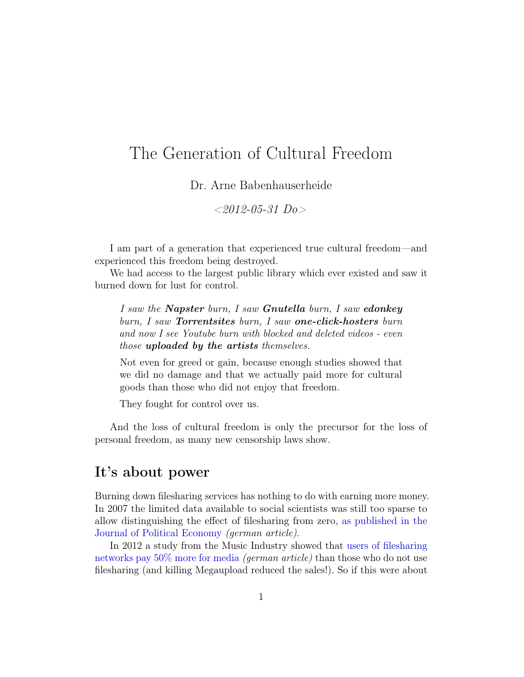## The Generation of Cultural Freedom

Dr. Arne Babenhauserheide

 $<2012-05-31$  Do

I am part of a generation that experienced true cultural freedom—and experienced this freedom being destroyed.

We had access to the largest public library which ever existed and saw it burned down for lust for control.

I saw the **Napster** burn, I saw **Gnutella** burn, I saw **edonkey** burn, I saw Torrentsites burn, I saw one-click-hosters burn and now I see Youtube burn with blocked and deleted videos - even those uploaded by the artists themselves.

Not even for greed or gain, because enough studies showed that we did no damage and that we actually paid more for cultural goods than those who did not enjoy that freedom.

They fought for control over us.

And the loss of cultural freedom is only the precursor for the loss of personal freedom, as many new censorship laws show.

## It's about power

Burning down filesharing services has nothing to do with earning more money. In 2007 the limited data available to social scientists was still too sparse to allow distinguishing the effect of filesharing from zero, [as published in the](https://www.draketo.de/deutsch/p2p/licht/studie-p2p-auswirkungen-von-tauschboersen-nicht-von-null-unterscheidbar) [Journal of Political Economy](https://www.draketo.de/deutsch/p2p/licht/studie-p2p-auswirkungen-von-tauschboersen-nicht-von-null-unterscheidbar) (german article).

In 2012 a study from the Music Industry showed that [users of filesharing](https://www.draketo.de/deutsch/tauschboersennutzer-geben-mehr) [networks pay 50% more for media](https://www.draketo.de/deutsch/tauschboersennutzer-geben-mehr) (german article) than those who do not use filesharing (and killing Megaupload reduced the sales!). So if this were about